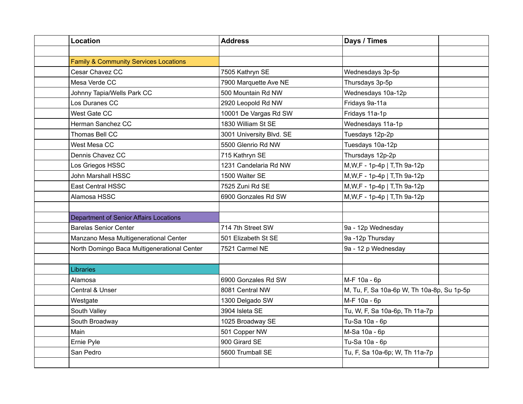| <b>Location</b>                                  | <b>Address</b>           | Days / Times                               |  |
|--------------------------------------------------|--------------------------|--------------------------------------------|--|
|                                                  |                          |                                            |  |
| <b>Family &amp; Community Services Locations</b> |                          |                                            |  |
| Cesar Chavez CC                                  | 7505 Kathryn SE          | Wednesdays 3p-5p                           |  |
| Mesa Verde CC                                    | 7900 Marquette Ave NE    | Thursdays 3p-5p                            |  |
| Johnny Tapia/Wells Park CC                       | 500 Mountain Rd NW       | Wednesdays 10a-12p                         |  |
| Los Duranes CC                                   | 2920 Leopold Rd NW       | Fridays 9a-11a                             |  |
| West Gate CC                                     | 10001 De Vargas Rd SW    | Fridays 11a-1p                             |  |
| Herman Sanchez CC                                | 1830 William St SE       | Wednesdays 11a-1p                          |  |
| Thomas Bell CC                                   | 3001 University Blvd. SE | Tuesdays 12p-2p                            |  |
| West Mesa CC                                     | 5500 Glenrio Rd NW       | Tuesdays 10a-12p                           |  |
| Dennis Chavez CC                                 | 715 Kathryn SE           | Thursdays 12p-2p                           |  |
| Los Griegos HSSC                                 | 1231 Candelaria Rd NW    | M, W, F - 1p-4p   T, Th 9a-12p             |  |
| John Marshall HSSC                               | 1500 Walter SE           | M, W, F - 1p-4p   T, Th 9a-12p             |  |
| <b>East Central HSSC</b>                         | 7525 Zuni Rd SE          | M, W, F - 1p-4p   T, Th 9a-12p             |  |
| Alamosa HSSC                                     | 6900 Gonzales Rd SW      | M, W, F - 1p-4p   T, Th 9a-12p             |  |
|                                                  |                          |                                            |  |
| <b>Department of Senior Affairs Locations</b>    |                          |                                            |  |
| <b>Barelas Senior Center</b>                     | 714 7th Street SW        | 9a - 12p Wednesday                         |  |
| Manzano Mesa Multigenerational Center            | 501 Elizabeth St SE      | 9a -12p Thursday                           |  |
| North Domingo Baca Multigenerational Center      | 7521 Carmel NE           | 9a - 12 p Wednesday                        |  |
|                                                  |                          |                                            |  |
| Libraries                                        |                          |                                            |  |
| Alamosa                                          | 6900 Gonzales Rd SW      | M-F 10a - 6p                               |  |
| Central & Unser                                  | 8081 Central NW          | M, Tu, F, Sa 10a-6p W, Th 10a-8p, Su 1p-5p |  |
| Westgate                                         | 1300 Delgado SW          | M-F 10a - 6p                               |  |
| South Valley                                     | 3904 Isleta SE           | Tu, W, F, Sa 10a-6p, Th 11a-7p             |  |
| South Broadway                                   | 1025 Broadway SE         | Tu-Sa 10a - 6p                             |  |
| Main                                             | 501 Copper NW            | M-Sa 10a - 6p                              |  |
| Ernie Pyle                                       | 900 Girard SE            | Tu-Sa 10a - 6p                             |  |
| San Pedro                                        | 5600 Trumball SE         | Tu, F, Sa 10a-6p; W, Th 11a-7p             |  |
|                                                  |                          |                                            |  |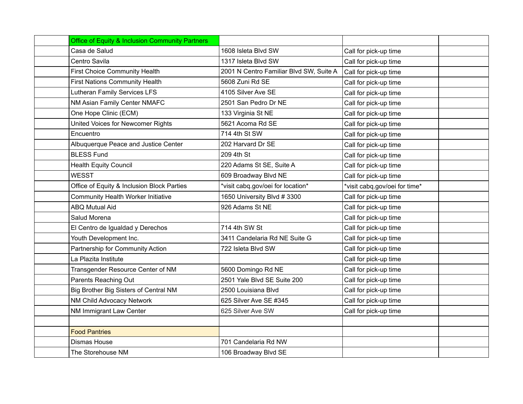| <b>Office of Equity &amp; Inclusion Community Partners</b> |                                         |                               |  |
|------------------------------------------------------------|-----------------------------------------|-------------------------------|--|
| Casa de Salud                                              | 1608 Isleta Blvd SW                     | Call for pick-up time         |  |
| Centro Savila                                              | 1317 Isleta Blvd SW                     | Call for pick-up time         |  |
| First Choice Community Health                              | 2001 N Centro Familiar Blvd SW, Suite A | Call for pick-up time         |  |
| <b>First Nations Community Health</b>                      | 5608 Zuni Rd SE                         | Call for pick-up time         |  |
| <b>Lutheran Family Services LFS</b>                        | 4105 Silver Ave SE                      | Call for pick-up time         |  |
| NM Asian Family Center NMAFC                               | 2501 San Pedro Dr NE                    | Call for pick-up time         |  |
| One Hope Clinic (ECM)                                      | 133 Virginia St NE                      | Call for pick-up time         |  |
| United Voices for Newcomer Rights                          | 5621 Acoma Rd SE                        | Call for pick-up time         |  |
| Encuentro                                                  | 714 4th St SW                           | Call for pick-up time         |  |
| Albuquerque Peace and Justice Center                       | 202 Harvard Dr SE                       | Call for pick-up time         |  |
| <b>BLESS Fund</b>                                          | 209 4th St                              | Call for pick-up time         |  |
| <b>Health Equity Council</b>                               | 220 Adams St SE, Suite A                | Call for pick-up time         |  |
| <b>WESST</b>                                               | 609 Broadway Blvd NE                    | Call for pick-up time         |  |
| Office of Equity & Inclusion Block Parties                 | *visit cabq.gov/oei for location*       | *visit cabq.gov/oei for time* |  |
| <b>Community Health Worker Initiative</b>                  | 1650 University Blvd #3300              | Call for pick-up time         |  |
| <b>ABQ Mutual Aid</b>                                      | 926 Adams St NE                         | Call for pick-up time         |  |
| Salud Morena                                               |                                         | Call for pick-up time         |  |
| El Centro de Igualdad y Derechos                           | 714 4th SW St                           | Call for pick-up time         |  |
| Youth Development Inc.                                     | 3411 Candelaria Rd NE Suite G           | Call for pick-up time         |  |
| Partnership for Community Action                           | 722 Isleta Blvd SW                      | Call for pick-up time         |  |
| La Plazita Institute                                       |                                         | Call for pick-up time         |  |
| Transgender Resource Center of NM                          | 5600 Domingo Rd NE                      | Call for pick-up time         |  |
| Parents Reaching Out                                       | 2501 Yale Blvd SE Suite 200             | Call for pick-up time         |  |
| Big Brother Big Sisters of Central NM                      | 2500 Louisiana Blvd                     | Call for pick-up time         |  |
| NM Child Advocacy Network                                  | 625 Silver Ave SE #345                  | Call for pick-up time         |  |
| NM Immigrant Law Center                                    | 625 Silver Ave SW                       | Call for pick-up time         |  |
|                                                            |                                         |                               |  |
| <b>Food Pantries</b>                                       |                                         |                               |  |
| Dismas House                                               | 701 Candelaria Rd NW                    |                               |  |
| The Storehouse NM                                          | 106 Broadway Blvd SE                    |                               |  |